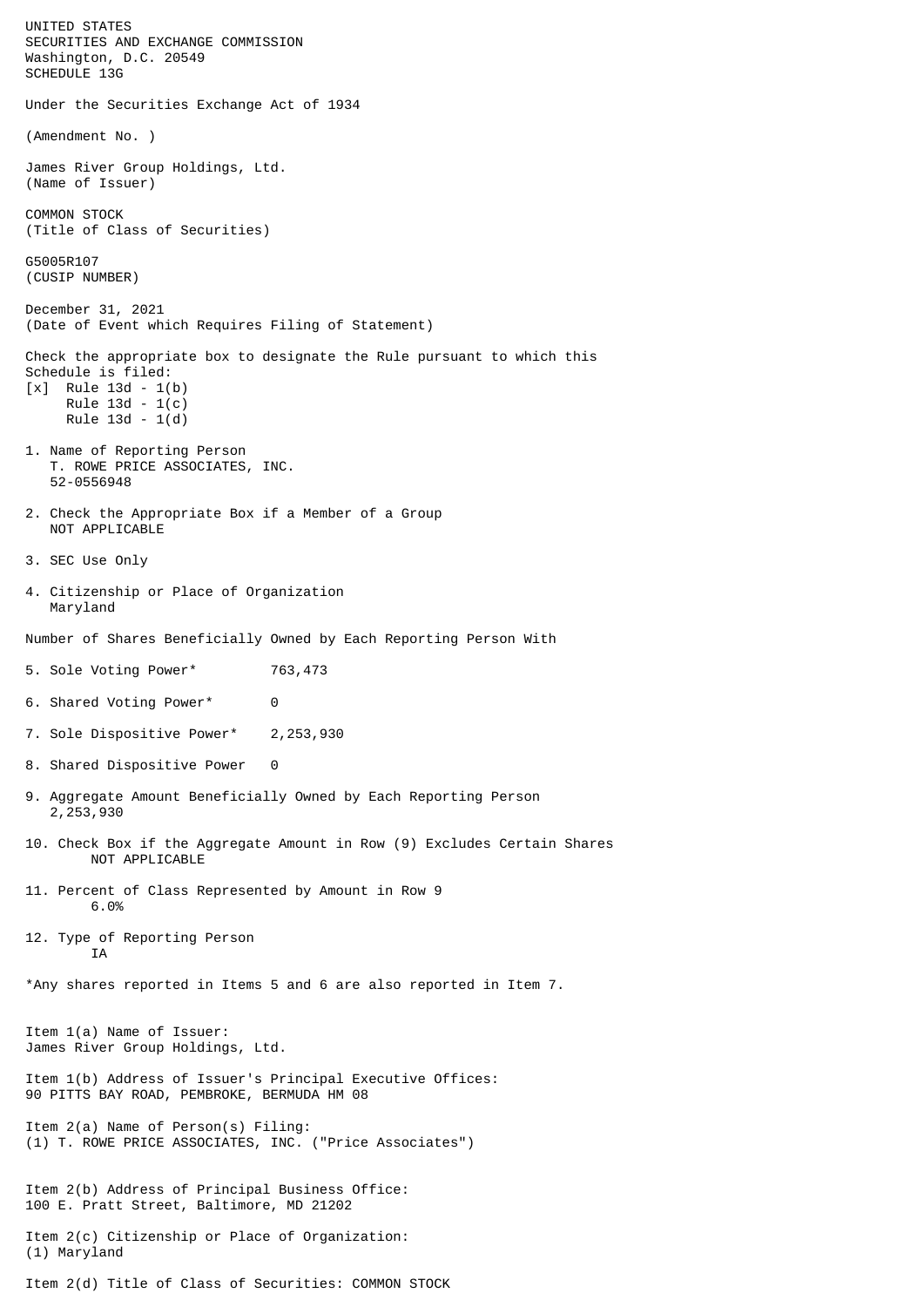UNITED STATES SECURITIES AND EXCHANGE COMMISSION Washington, D.C. 20549 SCHEDULE 13G Under the Securities Exchange Act of 1934 (Amendment No. ) James River Group Holdings, Ltd. (Name of Issuer) COMMON STOCK (Title of Class of Securities) G5005R107 (CUSIP NUMBER) December 31, 2021 (Date of Event which Requires Filing of Statement) Check the appropriate box to designate the Rule pursuant to which this Schedule is filed: [x] Rule 13d - 1(b) Rule 13d - 1(c) Rule 13d - 1(d) 1. Name of Reporting Person T. ROWE PRICE ASSOCIATES, INC. 52-0556948 2. Check the Appropriate Box if a Member of a Group NOT APPLICABLE 3. SEC Use Only 4. Citizenship or Place of Organization Maryland Number of Shares Beneficially Owned by Each Reporting Person With 5. Sole Voting Power\* 763,473 6. Shared Voting Power\* 0 7. Sole Dispositive Power\* 2,253,930 8. Shared Dispositive Power 0 9. Aggregate Amount Beneficially Owned by Each Reporting Person 2,253,930 10. Check Box if the Aggregate Amount in Row (9) Excludes Certain Shares NOT APPLICABLE 11. Percent of Class Represented by Amount in Row 9 6.0% 12. Type of Reporting Person **TA** \*Any shares reported in Items 5 and 6 are also reported in Item 7. Item 1(a) Name of Issuer: James River Group Holdings, Ltd. Item 1(b) Address of Issuer's Principal Executive Offices: 90 PITTS BAY ROAD, PEMBROKE, BERMUDA HM 08 Item 2(a) Name of Person(s) Filing: (1) T. ROWE PRICE ASSOCIATES, INC. ("Price Associates") Item 2(b) Address of Principal Business Office: 100 E. Pratt Street, Baltimore, MD 21202 Item 2(c) Citizenship or Place of Organization: (1) Maryland Item 2(d) Title of Class of Securities: COMMON STOCK